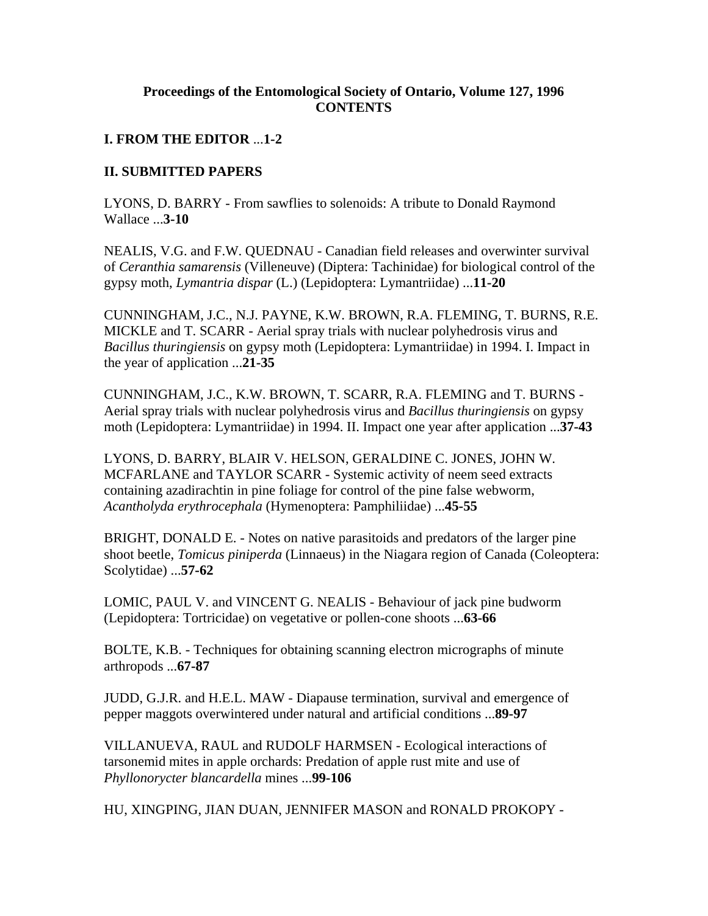## **Proceedings of the Entomological Society of Ontario, Volume 127, 1996 CONTENTS**

## **I. FROM THE EDITOR** ...**1-2**

## **II. SUBMITTED PAPERS**

LYONS, D. BARRY - From sawflies to solenoids: A tribute to Donald Raymond Wallace ...**3-10**

NEALIS, V.G. and F.W. QUEDNAU - Canadian field releases and overwinter survival of *Ceranthia samarensis* (Villeneuve) (Diptera: Tachinidae) for biological control of the gypsy moth, *Lymantria dispar* (L.) (Lepidoptera: Lymantriidae) ...**11-20**

CUNNINGHAM, J.C., N.J. PAYNE, K.W. BROWN, R.A. FLEMING, T. BURNS, R.E. MICKLE and T. SCARR - Aerial spray trials with nuclear polyhedrosis virus and *Bacillus thuringiensis* on gypsy moth (Lepidoptera: Lymantriidae) in 1994. I. Impact in the year of application ...**21-35**

CUNNINGHAM, J.C., K.W. BROWN, T. SCARR, R.A. FLEMING and T. BURNS - Aerial spray trials with nuclear polyhedrosis virus and *Bacillus thuringiensis* on gypsy moth (Lepidoptera: Lymantriidae) in 1994. II. Impact one year after application ...**37-43**

LYONS, D. BARRY, BLAIR V. HELSON, GERALDINE C. JONES, JOHN W. MCFARLANE and TAYLOR SCARR - Systemic activity of neem seed extracts containing azadirachtin in pine foliage for control of the pine false webworm, *Acantholyda erythrocephala* (Hymenoptera: Pamphiliidae) ...**45-55**

BRIGHT, DONALD E. - Notes on native parasitoids and predators of the larger pine shoot beetle, *Tomicus piniperda* (Linnaeus) in the Niagara region of Canada (Coleoptera: Scolytidae) ...**57-62**

LOMIC, PAUL V. and VINCENT G. NEALIS - Behaviour of jack pine budworm (Lepidoptera: Tortricidae) on vegetative or pollen-cone shoots ...**63-66**

BOLTE, K.B. - Techniques for obtaining scanning electron micrographs of minute arthropods ...**67-87**

JUDD, G.J.R. and H.E.L. MAW - Diapause termination, survival and emergence of pepper maggots overwintered under natural and artificial conditions ...**89-97**

VILLANUEVA, RAUL and RUDOLF HARMSEN - Ecological interactions of tarsonemid mites in apple orchards: Predation of apple rust mite and use of *Phyllonorycter blancardella* mines ...**99-106** 

HU, XINGPING, JIAN DUAN, JENNIFER MASON and RONALD PROKOPY -